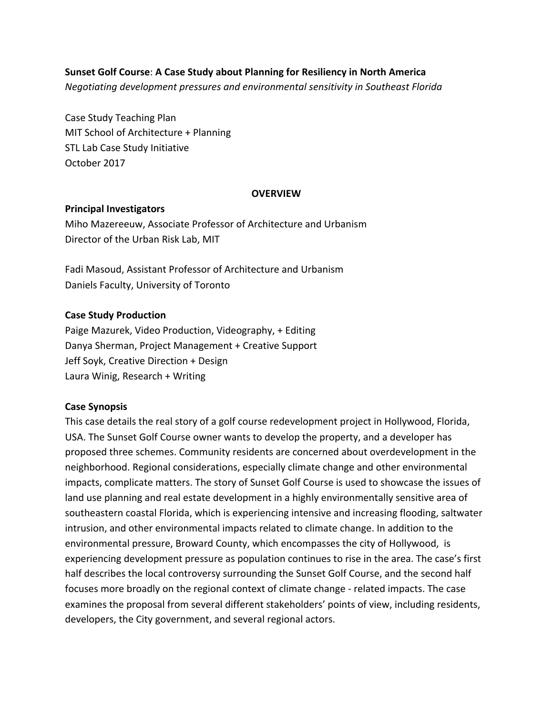## **Sunset Golf Course: A Case Study about Planning for Resiliency in North America**

*Negotiating development pressures and environmental sensitivity in Southeast Florida* 

Case Study Teaching Plan MIT School of Architecture + Planning STL Lab Case Study Initiative October 2017

#### **OVERVIEW**

#### **Principal Investigators**

Miho Mazereeuw, Associate Professor of Architecture and Urbanism Director of the Urban Risk Lab, MIT

Fadi Masoud, Assistant Professor of Architecture and Urbanism Daniels Faculty, University of Toronto

#### **Case Study Production**

Paige Mazurek, Video Production, Videography, + Editing Danya Sherman, Project Management + Creative Support Jeff Soyk, Creative Direction + Design Laura Winig, Research + Writing

#### **Case Synopsis**

This case details the real story of a golf course redevelopment project in Hollywood, Florida, USA. The Sunset Golf Course owner wants to develop the property, and a developer has proposed three schemes. Community residents are concerned about overdevelopment in the neighborhood. Regional considerations, especially climate change and other environmental impacts, complicate matters. The story of Sunset Golf Course is used to showcase the issues of land use planning and real estate development in a highly environmentally sensitive area of southeastern coastal Florida, which is experiencing intensive and increasing flooding, saltwater intrusion, and other environmental impacts related to climate change. In addition to the environmental pressure, Broward County, which encompasses the city of Hollywood, is experiencing development pressure as population continues to rise in the area. The case's first half describes the local controversy surrounding the Sunset Golf Course, and the second half focuses more broadly on the regional context of climate change - related impacts. The case examines the proposal from several different stakeholders' points of view, including residents, developers, the City government, and several regional actors.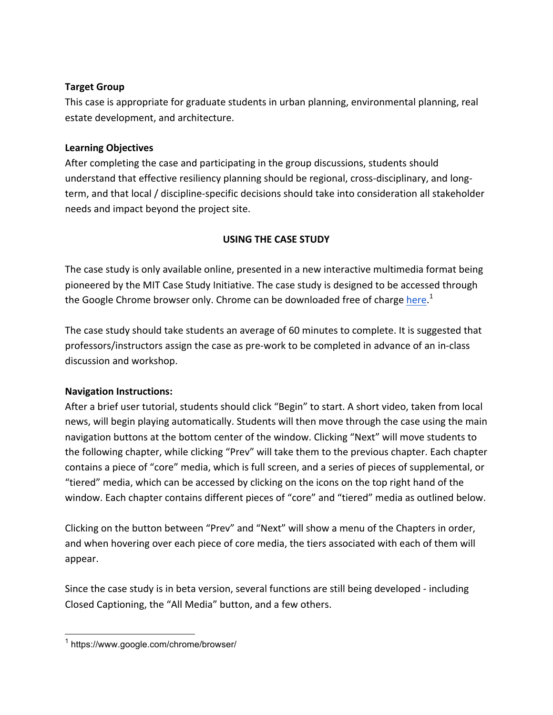# **Target Group**

This case is appropriate for graduate students in urban planning, environmental planning, real estate development, and architecture.

# **Learning Objectives**

After completing the case and participating in the group discussions, students should understand that effective resiliency planning should be regional, cross-disciplinary, and longterm, and that local / discipline-specific decisions should take into consideration all stakeholder needs and impact beyond the project site.

# **USING THE CASE STUDY**

The case study is only available online, presented in a new interactive multimedia format being pioneered by the MIT Case Study Initiative. The case study is designed to be accessed through the Google Chrome browser only. Chrome can be downloaded free of charge <u>here.</u><sup>1</sup>

The case study should take students an average of 60 minutes to complete. It is suggested that professors/instructors assign the case as pre-work to be completed in advance of an in-class discussion and workshop.

# **Navigation Instructions:**

After a brief user tutorial, students should click "Begin" to start. A short video, taken from local news, will begin playing automatically. Students will then move through the case using the main navigation buttons at the bottom center of the window. Clicking "Next" will move students to the following chapter, while clicking "Prev" will take them to the previous chapter. Each chapter contains a piece of "core" media, which is full screen, and a series of pieces of supplemental, or "tiered" media, which can be accessed by clicking on the icons on the top right hand of the window. Each chapter contains different pieces of "core" and "tiered" media as outlined below.

Clicking on the button between "Prev" and "Next" will show a menu of the Chapters in order, and when hovering over each piece of core media, the tiers associated with each of them will appear.

Since the case study is in beta version, several functions are still being developed - including Closed Captioning, the "All Media" button, and a few others.

<sup>&</sup>lt;sup>1</sup> https://www.google.com/chrome/browser/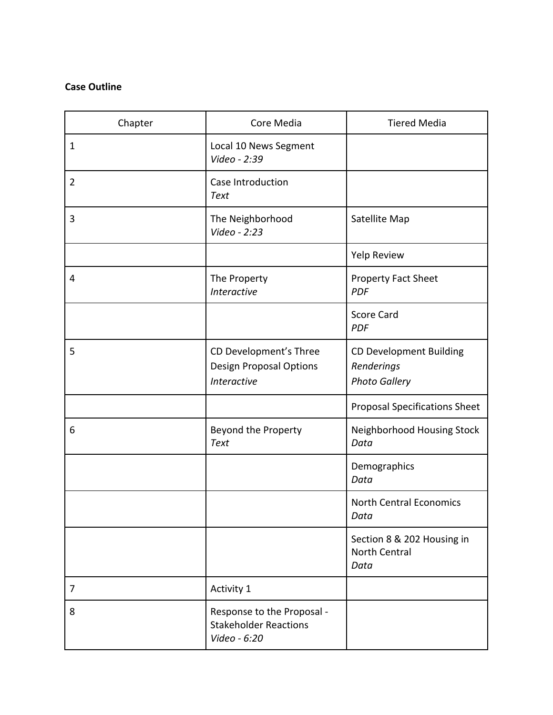# **Case Outline**

| Chapter        | Core Media                                                                     | <b>Tiered Media</b>                                                  |
|----------------|--------------------------------------------------------------------------------|----------------------------------------------------------------------|
| $\mathbf{1}$   | Local 10 News Segment<br>Video - 2:39                                          |                                                                      |
| $\overline{2}$ | <b>Case Introduction</b><br><b>Text</b>                                        |                                                                      |
| 3              | The Neighborhood<br>Video - 2:23                                               | Satellite Map                                                        |
|                |                                                                                | Yelp Review                                                          |
| $\overline{4}$ | The Property<br>Interactive                                                    | <b>Property Fact Sheet</b><br><b>PDF</b>                             |
|                |                                                                                | <b>Score Card</b><br><b>PDF</b>                                      |
| 5              | CD Development's Three<br><b>Design Proposal Options</b><br><b>Interactive</b> | <b>CD Development Building</b><br>Renderings<br><b>Photo Gallery</b> |
|                |                                                                                | <b>Proposal Specifications Sheet</b>                                 |
| 6              | <b>Beyond the Property</b><br><b>Text</b>                                      | Neighborhood Housing Stock<br>Data                                   |
|                |                                                                                | Demographics<br>Data                                                 |
|                |                                                                                | <b>North Central Economics</b><br>Data                               |
|                |                                                                                | Section 8 & 202 Housing in<br><b>North Central</b><br>Data           |
| 7              | Activity 1                                                                     |                                                                      |
| 8              | Response to the Proposal -<br><b>Stakeholder Reactions</b><br>Video - 6:20     |                                                                      |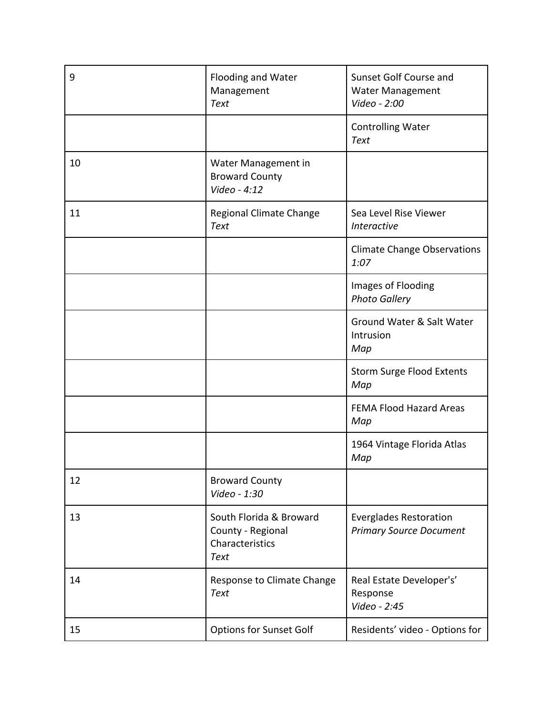| 9  | Flooding and Water<br>Management<br><b>Text</b>                                | Sunset Golf Course and<br><b>Water Management</b><br>Video - 2:00 |
|----|--------------------------------------------------------------------------------|-------------------------------------------------------------------|
|    |                                                                                | <b>Controlling Water</b><br><b>Text</b>                           |
| 10 | Water Management in<br><b>Broward County</b><br>Video - 4:12                   |                                                                   |
| 11 | Regional Climate Change<br><b>Text</b>                                         | Sea Level Rise Viewer<br><b>Interactive</b>                       |
|    |                                                                                | <b>Climate Change Observations</b><br>1:07                        |
|    |                                                                                | Images of Flooding<br><b>Photo Gallery</b>                        |
|    |                                                                                | Ground Water & Salt Water<br>Intrusion<br>Map                     |
|    |                                                                                | <b>Storm Surge Flood Extents</b><br>Map                           |
|    |                                                                                | <b>FEMA Flood Hazard Areas</b><br>Map                             |
|    |                                                                                | 1964 Vintage Florida Atlas<br>Map                                 |
| 12 | <b>Broward County</b><br>Video - 1:30                                          |                                                                   |
| 13 | South Florida & Broward<br>County - Regional<br>Characteristics<br><b>Text</b> | <b>Everglades Restoration</b><br><b>Primary Source Document</b>   |
| 14 | Response to Climate Change<br><b>Text</b>                                      | Real Estate Developer's'<br>Response<br>Video - 2:45              |
| 15 | <b>Options for Sunset Golf</b>                                                 | Residents' video - Options for                                    |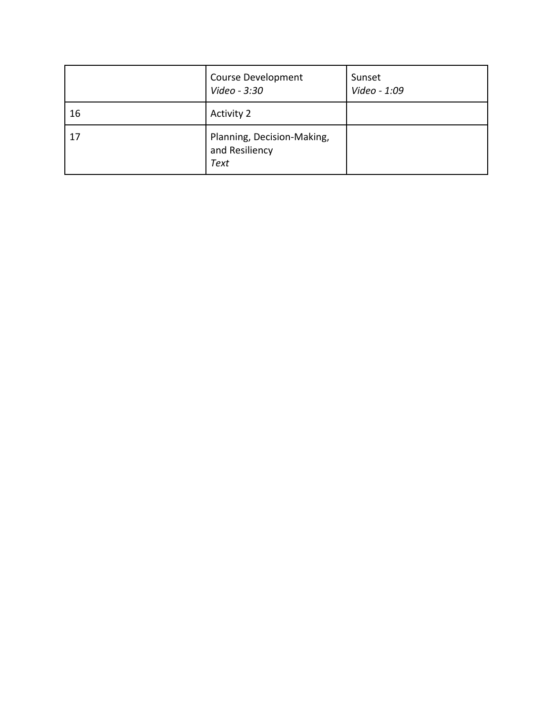|    | <b>Course Development</b><br>Video - 3:30                   | Sunset<br>Video - 1:09 |
|----|-------------------------------------------------------------|------------------------|
| 16 | <b>Activity 2</b>                                           |                        |
| 17 | Planning, Decision-Making,<br>and Resiliency<br><b>Text</b> |                        |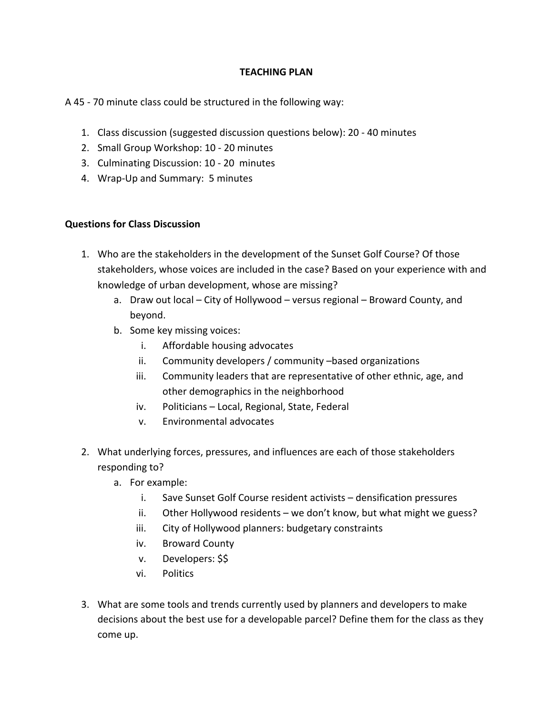## **TEACHING PLAN**

## A 45 - 70 minute class could be structured in the following way:

- 1. Class discussion (suggested discussion questions below): 20 40 minutes
- 2. Small Group Workshop: 10 20 minutes
- 3. Culminating Discussion: 10 20 minutes
- 4. Wrap-Up and Summary: 5 minutes

## **Questions for Class Discussion**

- 1. Who are the stakeholders in the development of the Sunset Golf Course? Of those stakeholders, whose voices are included in the case? Based on your experience with and knowledge of urban development, whose are missing?
	- a. Draw out local City of Hollywood versus regional Broward County, and beyond.
	- b. Some key missing voices:
		- i. Affordable housing advocates
		- ii. Community developers / community -based organizations
		- iii. Community leaders that are representative of other ethnic, age, and other demographics in the neighborhood
		- iv. Politicians Local, Regional, State, Federal
		- v. Environmental advocates
- 2. What underlying forces, pressures, and influences are each of those stakeholders responding to?
	- a. For example:
		- i. Save Sunset Golf Course resident activists densification pressures
		- ii. Other Hollywood residents we don't know, but what might we guess?
		- iii. City of Hollywood planners: budgetary constraints
		- iv. Broward County
		- v. Developers: \$\$
		- vi. Politics
- 3. What are some tools and trends currently used by planners and developers to make decisions about the best use for a developable parcel? Define them for the class as they come up.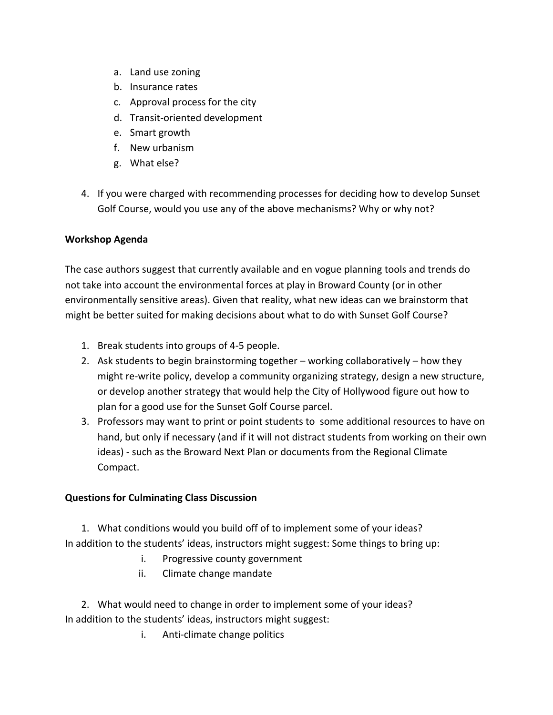- a. Land use zoning
- b. Insurance rates
- c. Approval process for the city
- d. Transit-oriented development
- e. Smart growth
- f. New urbanism
- g. What else?
- 4. If you were charged with recommending processes for deciding how to develop Sunset Golf Course, would you use any of the above mechanisms? Why or why not?

# **Workshop Agenda**

The case authors suggest that currently available and en vogue planning tools and trends do not take into account the environmental forces at play in Broward County (or in other environmentally sensitive areas). Given that reality, what new ideas can we brainstorm that might be better suited for making decisions about what to do with Sunset Golf Course?

- 1. Break students into groups of 4-5 people.
- 2. Ask students to begin brainstorming together working collaboratively how they might re-write policy, develop a community organizing strategy, design a new structure, or develop another strategy that would help the City of Hollywood figure out how to plan for a good use for the Sunset Golf Course parcel.
- 3. Professors may want to print or point students to some additional resources to have on hand, but only if necessary (and if it will not distract students from working on their own ideas) - such as the Broward Next Plan or documents from the Regional Climate Compact.

# **Questions for Culminating Class Discussion**

1. What conditions would you build off of to implement some of your ideas? In addition to the students' ideas, instructors might suggest: Some things to bring up:

- i. Progressive county government
- ii. Climate change mandate

2. What would need to change in order to implement some of your ideas? In addition to the students' ideas, instructors might suggest:

i. Anti-climate change politics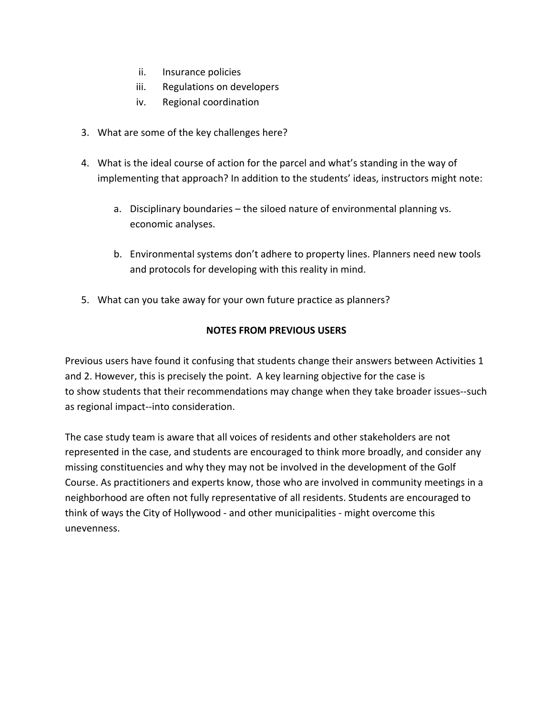- ii. Insurance policies
- iii. Regulations on developers
- iv. Regional coordination
- 3. What are some of the key challenges here?
- 4. What is the ideal course of action for the parcel and what's standing in the way of implementing that approach? In addition to the students' ideas, instructors might note:
	- a. Disciplinary boundaries the siloed nature of environmental planning vs. economic analyses.
	- b. Environmental systems don't adhere to property lines. Planners need new tools and protocols for developing with this reality in mind.
- 5. What can you take away for your own future practice as planners?

# **NOTES FROM PREVIOUS USERS**

Previous users have found it confusing that students change their answers between Activities 1 and 2. However, this is precisely the point. A key learning objective for the case is to show students that their recommendations may change when they take broader issues--such as regional impact--into consideration.

The case study team is aware that all voices of residents and other stakeholders are not represented in the case, and students are encouraged to think more broadly, and consider any missing constituencies and why they may not be involved in the development of the Golf Course. As practitioners and experts know, those who are involved in community meetings in a neighborhood are often not fully representative of all residents. Students are encouraged to think of ways the City of Hollywood - and other municipalities - might overcome this unevenness.